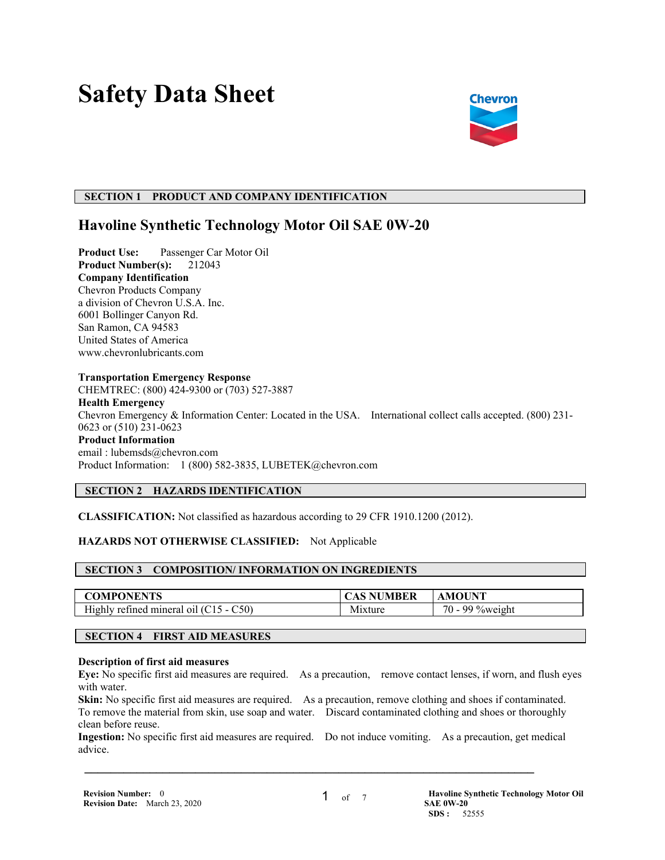# **Safety Data Sheet**



## **SECTION 1 PRODUCT AND COMPANY IDENTIFICATION**

## **Havoline Synthetic Technology Motor Oil SAE 0W-20**

**Product Use:** Passenger Car Motor Oil **Product Number(s):** 212043 **Company Identification** Chevron Products Company a division of Chevron U.S.A. Inc. 6001 Bollinger Canyon Rd. San Ramon, CA 94583 United States of America www.chevronlubricants.com

#### **Transportation Emergency Response**

CHEMTREC: (800) 424-9300 or (703) 527-3887 **Health Emergency** Chevron Emergency & Information Center: Located in the USA. International collect calls accepted. (800) 231- 0623 or (510) 231-0623 **Product Information** email : lubemsds@chevron.com Product Information: 1 (800) 582-3835, LUBETEK@chevron.com

## **SECTION 2 HAZARDS IDENTIFICATION**

**CLASSIFICATION:** Not classified as hazardous according to 29 CFR 1910.1200 (2012).

## **HAZARDS NOT OTHERWISE CLASSIFIED:** Not Applicable

## **SECTION 3 COMPOSITION/ INFORMATION ON INGREDIENTS**

| <b>COMPONENTS</b>                        | TAS NUMBER  | <b>AMOUNT</b>    |
|------------------------------------------|-------------|------------------|
| Highly refined mineral oil $(C15 - C50)$ | 1xture<br>M | 70<br>99 %weight |

## **SECTION 4 FIRST AID MEASURES**

#### **Description of first aid measures**

**Eye:** No specific first aid measures are required. As a precaution, remove contact lenses, if worn, and flush eyes with water.

**Skin:** No specific first aid measures are required. As a precaution, remove clothing and shoes if contaminated. To remove the material from skin, use soap and water. Discard contaminated clothing and shoes or thoroughly clean before reuse.

**Ingestion:** No specific first aid measures are required. Do not induce vomiting. As a precaution, get medical advice.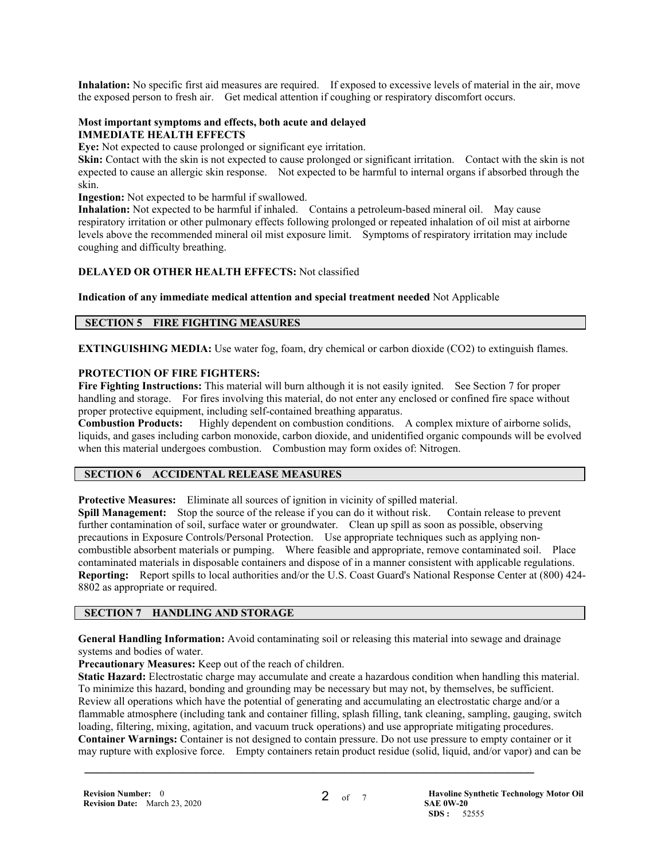**Inhalation:** No specific first aid measures are required. If exposed to excessive levels of material in the air, move the exposed person to fresh air. Get medical attention if coughing or respiratory discomfort occurs.

#### **Most important symptoms and effects, both acute and delayed IMMEDIATE HEALTH EFFECTS**

**Eye:** Not expected to cause prolonged or significant eye irritation.

**Skin:** Contact with the skin is not expected to cause prolonged or significant irritation. Contact with the skin is not expected to cause an allergic skin response. Not expected to be harmful to internal organs if absorbed through the skin.

**Ingestion:** Not expected to be harmful if swallowed.

**Inhalation:** Not expected to be harmful if inhaled. Contains a petroleum-based mineral oil. May cause respiratory irritation or other pulmonary effects following prolonged or repeated inhalation of oil mist at airborne levels above the recommended mineral oil mist exposure limit. Symptoms of respiratory irritation may include coughing and difficulty breathing.

## **DELAYED OR OTHER HEALTH EFFECTS:** Not classified

**Indication of any immediate medical attention and special treatment needed** Not Applicable

## **SECTION 5 FIRE FIGHTING MEASURES**

**EXTINGUISHING MEDIA:** Use water fog, foam, dry chemical or carbon dioxide (CO2) to extinguish flames.

## **PROTECTION OF FIRE FIGHTERS:**

**Fire Fighting Instructions:** This material will burn although it is not easily ignited. See Section 7 for proper handling and storage. For fires involving this material, do not enter any enclosed or confined fire space without proper protective equipment, including self-contained breathing apparatus.

**Combustion Products:** Highly dependent on combustion conditions. A complex mixture of airborne solids, liquids, and gases including carbon monoxide, carbon dioxide, and unidentified organic compounds will be evolved when this material undergoes combustion. Combustion may form oxides of: Nitrogen.

## **SECTION 6 ACCIDENTAL RELEASE MEASURES**

**Protective Measures:** Eliminate all sources of ignition in vicinity of spilled material.

**Spill Management:** Stop the source of the release if you can do it without risk. Contain release to prevent further contamination of soil, surface water or groundwater. Clean up spill as soon as possible, observing precautions in Exposure Controls/Personal Protection. Use appropriate techniques such as applying noncombustible absorbent materials or pumping. Where feasible and appropriate, remove contaminated soil. Place contaminated materials in disposable containers and dispose of in a manner consistent with applicable regulations. **Reporting:** Report spills to local authorities and/or the U.S. Coast Guard's National Response Center at (800) 424- 8802 as appropriate or required.

## **SECTION 7 HANDLING AND STORAGE**

**General Handling Information:** Avoid contaminating soil or releasing this material into sewage and drainage systems and bodies of water.

**Precautionary Measures:** Keep out of the reach of children.

**Static Hazard:** Electrostatic charge may accumulate and create a hazardous condition when handling this material. To minimize this hazard, bonding and grounding may be necessary but may not, by themselves, be sufficient. Review all operations which have the potential of generating and accumulating an electrostatic charge and/or a flammable atmosphere (including tank and container filling, splash filling, tank cleaning, sampling, gauging, switch loading, filtering, mixing, agitation, and vacuum truck operations) and use appropriate mitigating procedures. **Container Warnings:** Container is not designed to contain pressure. Do not use pressure to empty container or it may rupture with explosive force. Empty containers retain product residue (solid, liquid, and/or vapor) and can be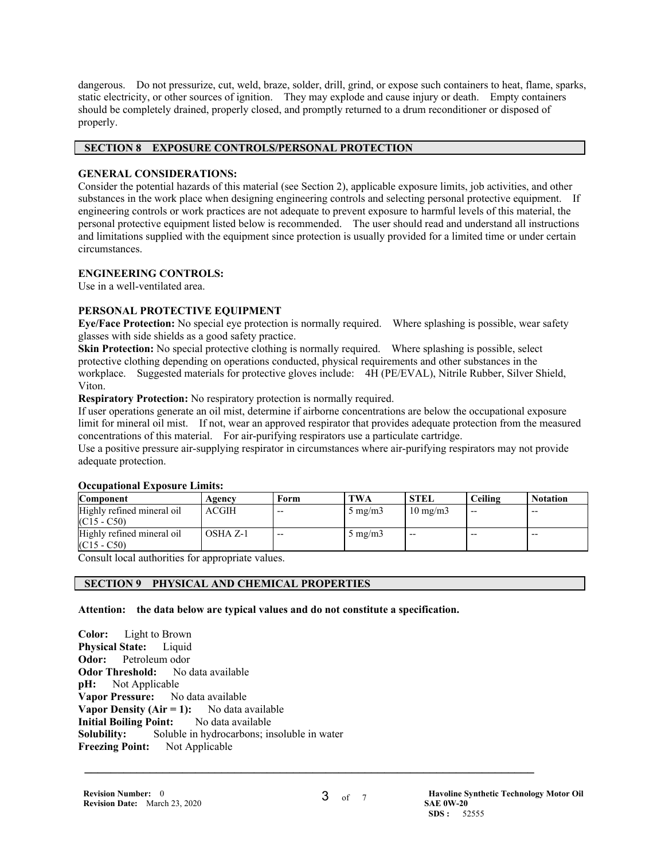dangerous. Do not pressurize, cut, weld, braze, solder, drill, grind, or expose such containers to heat, flame, sparks, static electricity, or other sources of ignition. They may explode and cause injury or death. Empty containers should be completely drained, properly closed, and promptly returned to a drum reconditioner or disposed of properly.

## **SECTION 8 EXPOSURE CONTROLS/PERSONAL PROTECTION**

## **GENERAL CONSIDERATIONS:**

Consider the potential hazards of this material (see Section 2), applicable exposure limits, job activities, and other substances in the work place when designing engineering controls and selecting personal protective equipment. If engineering controls or work practices are not adequate to prevent exposure to harmful levels of this material, the personal protective equipment listed below is recommended. The user should read and understand all instructions and limitations supplied with the equipment since protection is usually provided for a limited time or under certain circumstances.

## **ENGINEERING CONTROLS:**

Use in a well-ventilated area.

## **PERSONAL PROTECTIVE EQUIPMENT**

**Eye/Face Protection:** No special eye protection is normally required. Where splashing is possible, wear safety glasses with side shields as a good safety practice.

**Skin Protection:** No special protective clothing is normally required. Where splashing is possible, select protective clothing depending on operations conducted, physical requirements and other substances in the workplace. Suggested materials for protective gloves include: 4H (PE/EVAL), Nitrile Rubber, Silver Shield, Viton.

**Respiratory Protection:** No respiratory protection is normally required.

If user operations generate an oil mist, determine if airborne concentrations are below the occupational exposure limit for mineral oil mist. If not, wear an approved respirator that provides adequate protection from the measured concentrations of this material. For air-purifying respirators use a particulate cartridge.

Use a positive pressure air-supplying respirator in circumstances where air-purifying respirators may not provide adequate protection.

| Ottubativnai Exposure Emmis.                |              |       |                  |                   |         |                 |
|---------------------------------------------|--------------|-------|------------------|-------------------|---------|-----------------|
| <b>Component</b>                            | Agency       | Form  | <b>TWA</b>       | <b>STEL</b>       | Ceiling | <b>Notation</b> |
| Highly refined mineral oil<br>$(C15 - C50)$ | <b>ACGIH</b> | $- -$ | $5 \text{ mg/m}$ | $10 \text{ mg/m}$ | $- -$   | $- -$           |
| Highly refined mineral oil<br>$(C15 - C50)$ | OSHA Z-1     | $- -$ | $5 \text{ mg/m}$ | $-$               | $- -$   | $- -$           |

## **Occupational Exposure Limits:**

Consult local authorities for appropriate values.

## **SECTION 9 PHYSICAL AND CHEMICAL PROPERTIES**

## **Attention: the data below are typical values and do not constitute a specification.**

**Color:** Light to Brown **Physical State:** Liquid **Odor:** Petroleum odor **Odor Threshold:** No data available **pH:** Not Applicable **Vapor Pressure:** No data available **Vapor Density (Air = 1):** No data available **Initial Boiling Point:** No data available **Solubility:** Soluble in hydrocarbons; insoluble in water **Freezing Point:** Not Applicable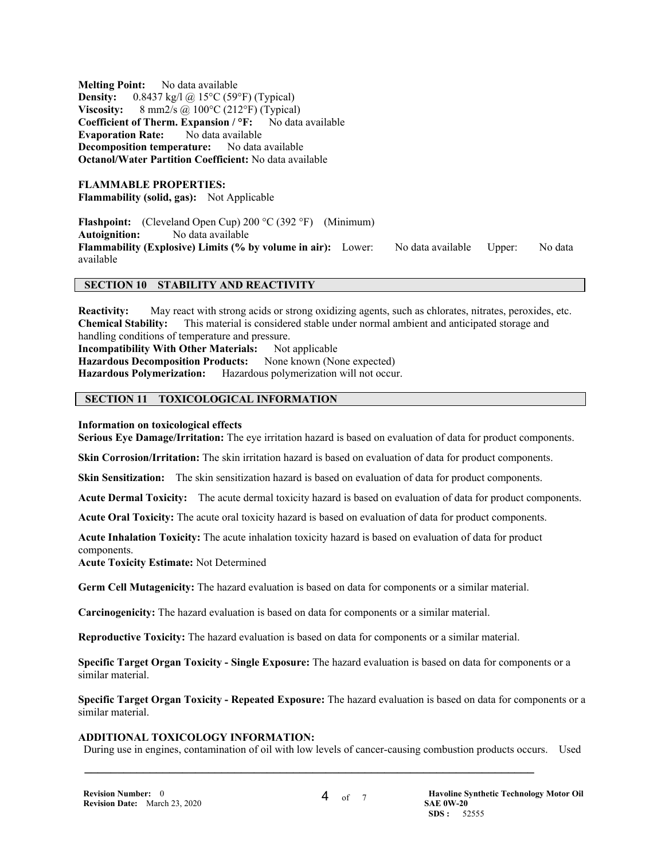**Melting Point:** No data available **Density:** 0.8437 kg/l @ 15°C (59°F) (Typical) **Viscosity:** 8 mm2/s @ 100°C (212°F) (Typical) **Coefficient of Therm. Expansion / °F:** No data available **Evaporation Rate:** No data available **Decomposition temperature:** No data available **Octanol/Water Partition Coefficient:** No data available

**FLAMMABLE PROPERTIES: Flammability (solid, gas):** Not Applicable

**Flashpoint:** (Cleveland Open Cup) 200 °C (392 °F) (Minimum) **Autoignition:** No data available **Flammability (Explosive) Limits (% by volume in air):** Lower: No data available Upper: No data available

#### **SECTION 10 STABILITY AND REACTIVITY**

**Reactivity:** May react with strong acids or strong oxidizing agents, such as chlorates, nitrates, peroxides, etc. **Chemical Stability:** This material is considered stable under normal ambient and anticipated storage and handling conditions of temperature and pressure. **Incompatibility With Other Materials:** Not applicable **Hazardous Decomposition Products:** None known (None expected) **Hazardous Polymerization:** Hazardous polymerization will not occur.

## **SECTION 11 TOXICOLOGICAL INFORMATION**

#### **Information on toxicological effects**

**Serious Eye Damage/Irritation:** The eye irritation hazard is based on evaluation of data for product components.

**Skin Corrosion/Irritation:** The skin irritation hazard is based on evaluation of data for product components.

**Skin Sensitization:** The skin sensitization hazard is based on evaluation of data for product components.

**Acute Dermal Toxicity:** The acute dermal toxicity hazard is based on evaluation of data for product components.

**Acute Oral Toxicity:** The acute oral toxicity hazard is based on evaluation of data for product components.

**Acute Inhalation Toxicity:** The acute inhalation toxicity hazard is based on evaluation of data for product components.

**Acute Toxicity Estimate:** Not Determined

**Germ Cell Mutagenicity:** The hazard evaluation is based on data for components or a similar material.

**Carcinogenicity:** The hazard evaluation is based on data for components or a similar material.

**Reproductive Toxicity:** The hazard evaluation is based on data for components or a similar material.

**Specific Target Organ Toxicity - Single Exposure:** The hazard evaluation is based on data for components or a similar material.

**Specific Target Organ Toxicity - Repeated Exposure:** The hazard evaluation is based on data for components or a similar material.

#### **ADDITIONAL TOXICOLOGY INFORMATION:**

During use in engines, contamination of oil with low levels of cancer-causing combustion products occurs. Used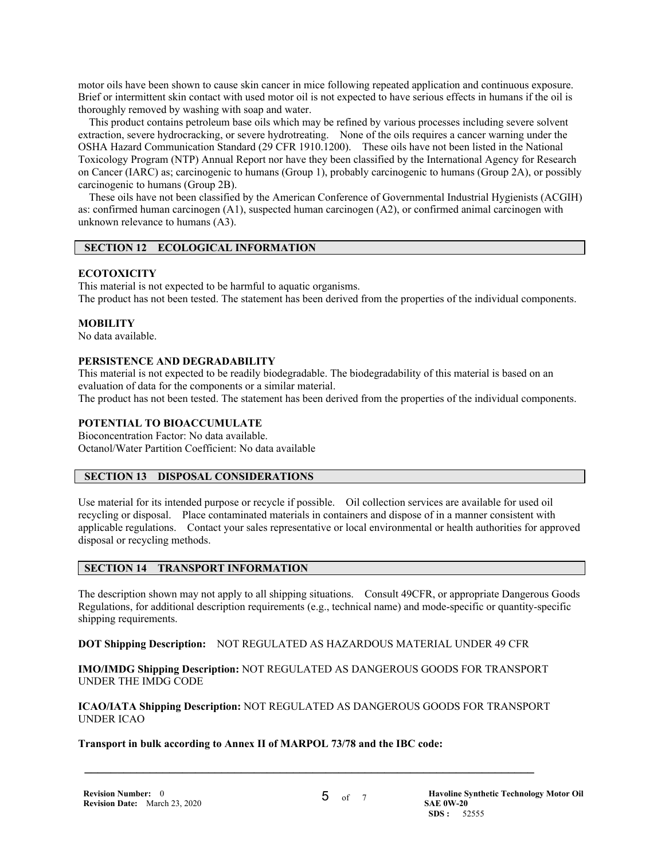motor oils have been shown to cause skin cancer in mice following repeated application and continuous exposure. Brief or intermittent skin contact with used motor oil is not expected to have serious effects in humans if the oil is thoroughly removed by washing with soap and water.

 This product contains petroleum base oils which may be refined by various processes including severe solvent extraction, severe hydrocracking, or severe hydrotreating. None of the oils requires a cancer warning under the OSHA Hazard Communication Standard (29 CFR 1910.1200). These oils have not been listed in the National Toxicology Program (NTP) Annual Report nor have they been classified by the International Agency for Research on Cancer (IARC) as; carcinogenic to humans (Group 1), probably carcinogenic to humans (Group 2A), or possibly carcinogenic to humans (Group 2B).

 These oils have not been classified by the American Conference of Governmental Industrial Hygienists (ACGIH) as: confirmed human carcinogen (A1), suspected human carcinogen (A2), or confirmed animal carcinogen with unknown relevance to humans (A3).

## **SECTION 12 ECOLOGICAL INFORMATION**

## **ECOTOXICITY**

This material is not expected to be harmful to aquatic organisms. The product has not been tested. The statement has been derived from the properties of the individual components.

## **MOBILITY**

No data available.

## **PERSISTENCE AND DEGRADABILITY**

This material is not expected to be readily biodegradable. The biodegradability of this material is based on an evaluation of data for the components or a similar material.

The product has not been tested. The statement has been derived from the properties of the individual components.

## **POTENTIAL TO BIOACCUMULATE**

Bioconcentration Factor: No data available. Octanol/Water Partition Coefficient: No data available

## **SECTION 13 DISPOSAL CONSIDERATIONS**

Use material for its intended purpose or recycle if possible. Oil collection services are available for used oil recycling or disposal. Place contaminated materials in containers and dispose of in a manner consistent with applicable regulations. Contact your sales representative or local environmental or health authorities for approved disposal or recycling methods.

## **SECTION 14 TRANSPORT INFORMATION**

The description shown may not apply to all shipping situations. Consult 49CFR, or appropriate Dangerous Goods Regulations, for additional description requirements (e.g., technical name) and mode-specific or quantity-specific shipping requirements.

**DOT Shipping Description:** NOT REGULATED AS HAZARDOUS MATERIAL UNDER 49 CFR

**IMO/IMDG Shipping Description:** NOT REGULATED AS DANGEROUS GOODS FOR TRANSPORT UNDER THE IMDG CODE

**ICAO/IATA Shipping Description:** NOT REGULATED AS DANGEROUS GOODS FOR TRANSPORT UNDER ICAO

 $\mathcal{L} = \{ \mathcal{L} \mathcal{L} \mathcal{L} \mathcal{L} \mathcal{L} \mathcal{L} \mathcal{L} \mathcal{L} \mathcal{L} \mathcal{L} \mathcal{L} \mathcal{L} \mathcal{L} \mathcal{L} \mathcal{L} \mathcal{L} \mathcal{L} \mathcal{L} \mathcal{L} \mathcal{L} \mathcal{L} \mathcal{L} \mathcal{L} \mathcal{L} \mathcal{L} \mathcal{L} \mathcal{L} \mathcal{L} \mathcal{L} \mathcal{L} \mathcal{L} \mathcal{L} \mathcal{L} \mathcal{L} \mathcal{L} \$ 

## **Transport in bulk according to Annex II of MARPOL 73/78 and the IBC code:**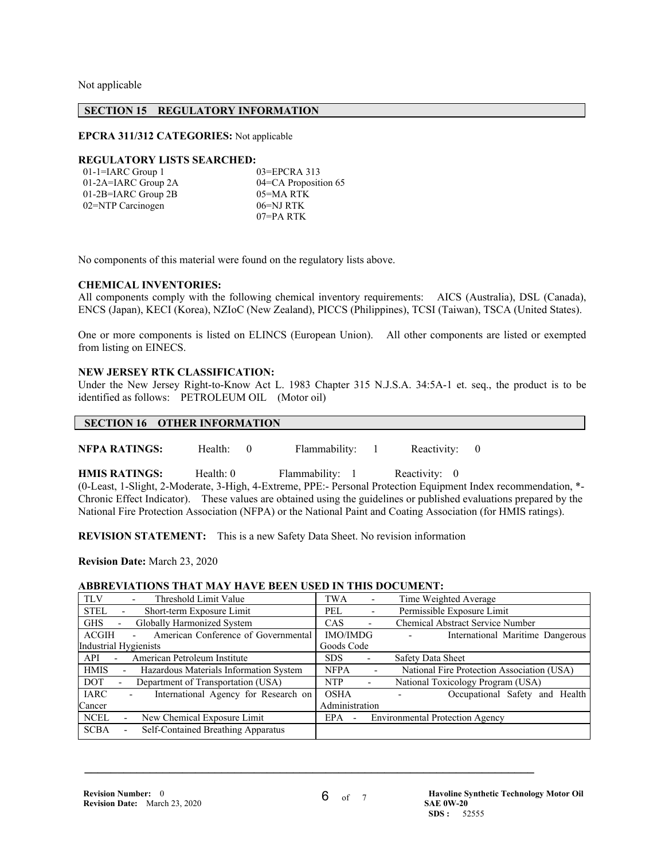Not applicable

#### **SECTION 15 REGULATORY INFORMATION**

#### **EPCRA 311/312 CATEGORIES:** Not applicable

#### **REGULATORY LISTS SEARCHED:**

| $01$ -1=IARC Group 1  | $03 = EPCRA$ 313     |
|-----------------------|----------------------|
| 01-2A=IARC Group 2A   | 04=CA Proposition 65 |
| $01-2B=IARC$ Group 2B | 05=MA RTK            |
| 02=NTP Carcinogen     | $06 = NJ RTK$        |
|                       | $07 = PA$ RTK        |

No components of this material were found on the regulatory lists above.

#### **CHEMICAL INVENTORIES:**

All components comply with the following chemical inventory requirements: AICS (Australia), DSL (Canada), ENCS (Japan), KECI (Korea), NZIoC (New Zealand), PICCS (Philippines), TCSI (Taiwan), TSCA (United States).

One or more components is listed on ELINCS (European Union). All other components are listed or exempted from listing on EINECS.

#### **NEW JERSEY RTK CLASSIFICATION:**

Under the New Jersey Right-to-Know Act L. 1983 Chapter 315 N.J.S.A. 34:5A-1 et. seq., the product is to be identified as follows: PETROLEUM OIL (Motor oil)

#### **SECTION 16 OTHER INFORMATION**

**NFPA RATINGS:** Health: 0 Flammability: 1 Reactivity: 0

**HMIS RATINGS:** Health: 0 Flammability: 1 Reactivity: 0 (0-Least, 1-Slight, 2-Moderate, 3-High, 4-Extreme, PPE:- Personal Protection Equipment Index recommendation, \*- Chronic Effect Indicator). These values are obtained using the guidelines or published evaluations prepared by the National Fire Protection Association (NFPA) or the National Paint and Coating Association (for HMIS ratings).

**REVISION STATEMENT:** This is a new Safety Data Sheet. No revision information

**Revision Date:** March 23, 2020

## **ABBREVIATIONS THAT MAY HAVE BEEN USED IN THIS DOCUMENT:**

| <b>TLV</b><br>Threshold Limit Value                   | TWA                                     | Time Weighted Average                      |
|-------------------------------------------------------|-----------------------------------------|--------------------------------------------|
| <b>STEL</b><br>Short-term Exposure Limit              | PEL<br>٠                                | Permissible Exposure Limit                 |
| Globally Harmonized System<br><b>GHS</b>              | CAS<br>$\overline{\phantom{a}}$         | Chemical Abstract Service Number           |
| American Conference of Governmental<br><b>ACGIH</b>   | <b>IMO/IMDG</b>                         | International Maritime Dangerous           |
| <b>Industrial Hygienists</b>                          | Goods Code                              |                                            |
| American Petroleum Institute<br>API                   | <b>SDS</b><br>$\overline{\phantom{a}}$  | Safety Data Sheet                          |
|                                                       |                                         |                                            |
| <b>HMIS</b><br>Hazardous Materials Information System | <b>NFPA</b><br>$\overline{\phantom{0}}$ | National Fire Protection Association (USA) |
| Department of Transportation (USA)<br><b>DOT</b><br>- | <b>NTP</b><br>$\overline{a}$            | National Toxicology Program (USA)          |
| <b>IARC</b><br>International Agency for Research on   | <b>OSHA</b>                             | Occupational Safety and                    |
| Cancer                                                | Administration                          | Health                                     |
| <b>NCEL</b><br>New Chemical Exposure Limit            | EPA<br>$\overline{\phantom{a}}$         | <b>Environmental Protection Agency</b>     |